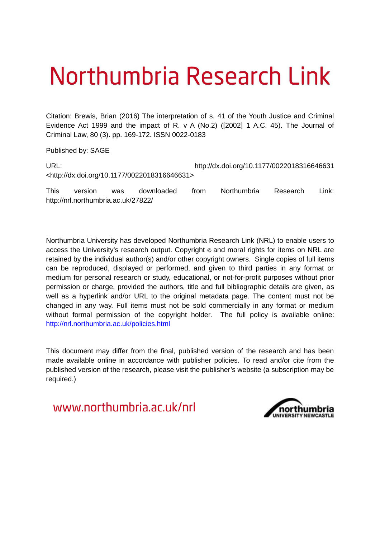# Northumbria Research Link

Citation: Brewis, Brian (2016) The interpretation of s. 41 of the Youth Justice and Criminal Evidence Act 1999 and the impact of R. v A (No.2) ([2002] 1 A.C. 45). The Journal of Criminal Law, 80 (3). pp. 169-172. ISSN 0022-0183

Published by: SAGE

URL: http://dx.doi.org/10.1177/0022018316646631 <http://dx.doi.org/10.1177/0022018316646631>

This version was downloaded from Northumbria Research Link: http://nrl.northumbria.ac.uk/27822/

Northumbria University has developed Northumbria Research Link (NRL) to enable users to access the University's research output. Copyright  $\circ$  and moral rights for items on NRL are retained by the individual author(s) and/or other copyright owners. Single copies of full items can be reproduced, displayed or performed, and given to third parties in any format or medium for personal research or study, educational, or not-for-profit purposes without prior permission or charge, provided the authors, title and full bibliographic details are given, as well as a hyperlink and/or URL to the original metadata page. The content must not be changed in any way. Full items must not be sold commercially in any format or medium without formal permission of the copyright holder. The full policy is available online: <http://nrl.northumbria.ac.uk/policies.html>

This document may differ from the final, published version of the research and has been made available online in accordance with publisher policies. To read and/or cite from the published version of the research, please visit the publisher's website (a subscription may be required.)

www.northumbria.ac.uk/nrl

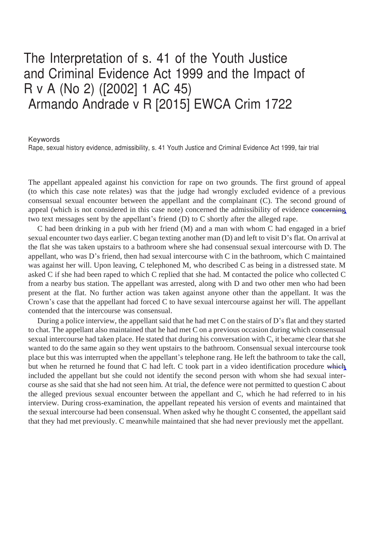## The Interpretation of s. 41 of the Youth Justice and Criminal Evidence Act 1999 and the Impact of R v A (No 2) ([2002] 1 AC 45) Armando Andrade v R [2015] EWCA Crim 1722

Keywords

Rape, sexual history evidence, admissibility, s. 41 Youth Justice and Criminal Evidence Act 1999, fair trial

The appellant appealed against his conviction for rape on two grounds. The first ground of appeal (to which this case note relates) was that the judge had wrongly excluded evidence of a previous consensual sexual encounter between the appellant and the complainant (C). The second ground of appeal (which is not considered in this case note) concerned the admissibility of evidence concerning two text messages sent by the appellant's friend (D) to C shortly after the alleged rape.

C had been drinking in a pub with her friend (M) and a man with whom C had engaged in a brief sexual encounter two days earlier. C began texting another man (D) and left to visit D's flat. On arrival at the flat she was taken upstairs to a bathroom where she had consensual sexual intercourse with D. The appellant, who was D's friend, then had sexual intercourse with C in the bathroom, which C maintained was against her will. Upon leaving, C telephoned M, who described C as being in a distressed state. M asked C if she had been raped to which C replied that she had. M contacted the police who collected C from a nearby bus station. The appellant was arrested, along with D and two other men who had been present at the flat. No further action was taken against anyone other than the appellant. It was the Crown's case that the appellant had forced C to have sexual intercourse against her will. The appellant contended that the intercourse was consensual.

During a police interview, the appellant said that he had met C on the stairs of D's flat and they started to chat. The appellant also maintained that he had met C on a previous occasion during which consensual sexual intercourse had taken place. He stated that during his conversation with C, it became clear that she wanted to do the same again so they went upstairs to the bathroom. Consensual sexual intercourse took place but this was interrupted when the appellant's telephone rang. He left the bathroom to take the call, but when he returned he found that C had left. C took part in a video identification procedure which included the appellant but she could not identify the second person with whom she had sexual intercourse as she said that she had not seen him. At trial, the defence were not permitted to question C about the alleged previous sexual encounter between the appellant and C, which he had referred to in his interview. During cross-examination, the appellant repeated his version of events and maintained that the sexual intercourse had been consensual. When asked why he thought C consented, the appellant said that they had met previously. C meanwhile maintained that she had never previously met the appellant.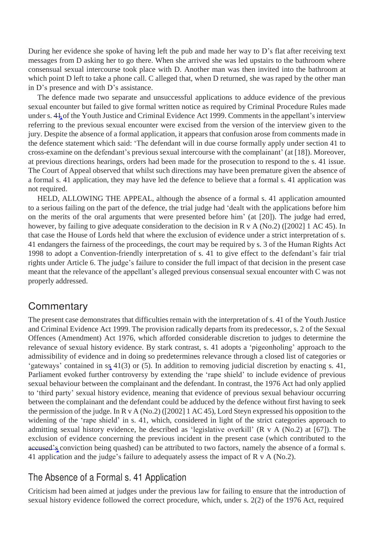During her evidence she spoke of having left the pub and made her way to  $D$ 's flat after receiving text messages from D asking her to go there. When she arrived she was led upstairs to the bathroom where consensual sexual intercourse took place with D. Another man was then invited into the bathroom at which point D left to take a phone call. C alleged that, when D returned, she was raped by the other man in D's presence and with D's assistance.

The defence made two separate and unsuccessful applications to adduce evidence of the previous sexual encounter but failed to give formal written notice as required by Criminal Procedure Rules made under s. 41 of the Youth Justice and Criminal Evidence Act 1999. Comments in the appellant's interview referring to the previous sexual encounter were excised from the version of the interview given to the jury. Despite the absence of a formal application, it appears that confusion arose from comments made in the defence statement which said: 'The defendant will in due course formally apply under section 41 to cross-examine on the defendant's previous sexual intercourse with the complainant' (at [18]). Moreover, at previous directions hearings, orders had been made for the prosecution to respond to the s. 41 issue. The Court of Appeal observed that whilst such directions may have been premature given the absence of a formal s. 41 application, they may have led the defence to believe that a formal s. 41 application was not required.

HELD, ALLOWING THE APPEAL, although the absence of a formal s. 41 application amounted to a serious failing on the part of the defence, the trial judge had 'dealt with the applications before him on the merits of the oral arguments that were presented before him' (at [20]). The judge had erred, however, by failing to give adequate consideration to the decision in R v A (No.2) ([2002] 1 AC 45). In that case the House of Lords held that where the exclusion of evidence under a strict interpretation of s. 41 endangers the fairness of the proceedings, the court may be required by s. 3 of the Human Rights Act 1998 to adopt a Convention-friendly interpretation of s. 41 to give effect to the defendant's fair trial rights under Article 6. The judge's failure to consider the full impact of that decision in the present case meant that the relevance of the appellant's alleged previous consensual sexual encounter with C was not properly addressed.

#### **Commentary**

The present case demonstrates that difficulties remain with the interpretation of s. 41 of the Youth Justice and Criminal Evidence Act 1999. The provision radically departs from its predecessor, s. 2 of the Sexual Offences (Amendment) Act 1976, which afforded considerable discretion to judges to determine the relevance of sexual history evidence. By stark contrast, s. 41 adopts a 'pigeonholing' approach to the admissibility of evidence and in doing so predetermines relevance through a closed list of categories or 'gateways' contained in ss 41(3) or (5). In addition to removing judicial discretion by enacting s. 41, Parliament evoked further controversy by extending the 'rape shield' to include evidence of previous sexual behaviour between the complainant and the defendant. In contrast, the 1976 Act had only applied to 'third party' sexual history evidence, meaning that evidence of previous sexual behaviour occurring between the complainant and the defendant could be adduced by the defence without first having to seek the permission of the judge. In R v A (No.2) ([2002] 1 AC 45), Lord Steyn expressed his opposition to the widening of the 'rape shield' in s. 41, which, considered in light of the strict categories approach to admitting sexual history evidence, he described as 'legislative overkill' (R v A (No.2) at [67]). The exclusion of evidence concerning the previous incident in the present case (which contributed to the accused's conviction being quashed) can be attributed to two factors, namely the absence of a formal s. 41 application and the judge's failure to adequately assess the impact of R v A (No.2).

### The Absence of a Formal s. 41 Application

Criticism had been aimed at judges under the previous law for failing to ensure that the introduction of sexual history evidence followed the correct procedure, which, under s. 2(2) of the 1976 Act, required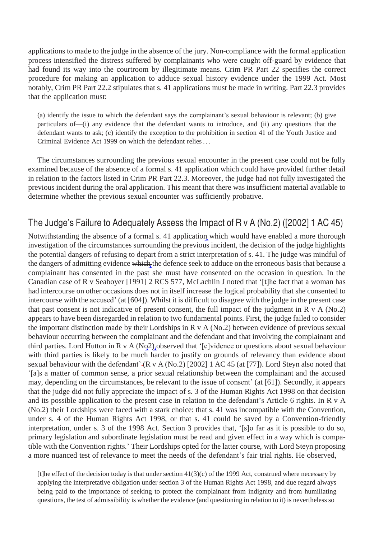applications to made to the judge in the absence of the jury. Non-compliance with the formal application process intensified the distress suffered by complainants who were caught off-guard by evidence that had found its way into the courtroom by illegitimate means. Crim PR Part 22 specifies the correct procedure for making an application to adduce sexual history evidence under the 1999 Act. Most notably, Crim PR Part 22.2 stipulates that s. 41 applications must be made in writing. Part 22.3 provides that the application must:

(a) identify the issue to which the defendant says the complainant's sexual behaviour is relevant; (b) give particulars of—(i) any evidence that the defendant wants to introduce, and (ii) any questions that the defendant wants to ask; (c) identify the exception to the prohibition in section 41 of the Youth Justice and Criminal Evidence Act 1999 on which the defendant relies . . .

The circumstances surrounding the previous sexual encounter in the present case could not be fully examined because of the absence of a formal s. 41 application which could have provided further detail in relation to the factors listed in Crim PR Part 22.3. Moreover, the judge had not fully investigated the previous incident during the oral application. This meant that there was insufficient material available to determine whether the previous sexual encounter was sufficiently probative.

#### The Judge's Failure to Adequately Assess the Impact of R v A (No.2) ([2002] 1 AC 45)

Notwithstanding the absence of a formal s. 41 application which would have enabled a more thorough investigation of the circumstances surrounding the previous incident, the decision of the judge highlights the potential dangers of refusing to depart from a strict interpretation of s. 41. The judge was mindful of the dangers of admitting evidence which the defence seek to adduce on the erroneous basis that because a complainant has consented in the past she must have consented on the occasion in question. In the Canadian case of R v Seaboyer [1991] 2 RCS 577, McLachlin J noted that '[t]he fact that a woman has had intercourse on other occasions does not in itself increase the logical probability that she consented to intercourse with the accused' (at [604]). Whilst it is difficult to disagree with the judge in the present case that past consent is not indicative of present consent, the full impact of the judgment in  $R \text{ v A}$  (No.2) appears to have been disregarded in relation to two fundamental points. First, the judge failed to consider the important distinction made by their Lordships in  $R$  v  $\hat{A}$  (No.2) between evidence of previous sexual behaviour occurring between the complainant and the defendant and that involving the complainant and third parties. Lord Hutton in R v A  $(Nq2)$  observed that '[e]vidence or questions about sexual behaviour with third parties is likely to be much harder to justify on grounds of relevancy than evidence about sexual behaviour with the defendant'  $(R \vee A(N_0.2)$  [2002] 1 AC 45 (at [77]). Lord Steyn also noted that '[a]s a matter of common sense, a prior sexual relationship between the complainant and the accused may, depending on the circumstances, be relevant to the issue of consent' (at [61]). Secondly, it appears that the judge did not fully appreciate the impact of s. 3 of the Human Rights Act 1998 on that decision and its possible application to the present case in relation to the defendant's Article 6 rights. In R v A (No.2) their Lordships were faced with a stark choice: that s. 41 was incompatible with the Convention, under s. 4 of the Human Rights Act 1998, or that s. 41 could be saved by a Convention-friendly interpretation, under s. 3 of the 1998 Act. Section 3 provides that, '[s]o far as it is possible to do so, primary legislation and subordinate legislation must be read and given effect in a way which is compatible with the Convention rights.' Their Lordships opted for the latter course, with Lord Steyn proposing a more nuanced test of relevance to meet the needs of the defendant's fair trial rights. He observed,

[t]he effect of the decision today is that under section 41(3)(c) of the 1999 Act, construed where necessary by applying the interpretative obligation under section 3 of the Human Rights Act 1998, and due regard always being paid to the importance of seeking to protect the complainant from indignity and from humiliating questions, the test of admissibility is whether the evidence (and questioning in relation to it) is nevertheless so